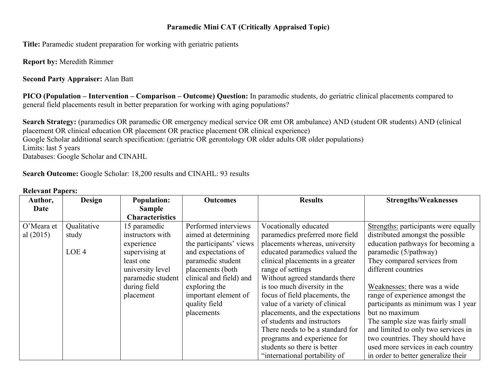## **Paramedic Mini CAT (Critically Appraised Topic)**

**Title:** Paramedic student preparation for working with geriatric patients

**Report by:** Meredith Rimmer

**Second Party Appraiser:** Alan Batt

**PICO (Population – Intervention – Comparison – Outcome) Question:** In paramedic students, do geriatric clinical placements compared to general field placements result in better preparation for working with aging populations?

**Search Strategy:** (paramedics OR paramedic OR emergency medical service OR emt OR ambulance) AND (student OR students) AND (clinical placement OR clinical education OR placement OR practice placement OR clinical experience) Google Scholar additional search specification: (geriatric OR gerontology OR older adults OR older populations) Limits: last 5 years Databases: Google Scholar and CINAHL

**Search Outcome:** Google Scholar: 18,200 results and CINAHL: 93 results

| Author,     | <b>Design</b>    | <b>Population:</b>     | <b>Outcomes</b>         | <b>Results</b>                   | <b>Strengths/Weaknesses</b>          |
|-------------|------------------|------------------------|-------------------------|----------------------------------|--------------------------------------|
| Date        |                  | <b>Sample</b>          |                         |                                  |                                      |
|             |                  | <b>Characteristics</b> |                         |                                  |                                      |
| O'Meara et  | Qualitative      | 15 paramedic           | Performed interviews    | Vocationally educated            | Strengths: participants were equally |
| al $(2015)$ | study            | instructors with       | aimed at determining    | paramedics preferred more field  | distributed amongst the possible     |
|             |                  | experience             | the participants' views | placements whereas, university   | education pathways for becoming a    |
|             | LOE <sub>4</sub> | supervising at         | and expectations of     | educated paramedics valued the   | paramedic (5/pathway)                |
|             |                  | least one              | paramedic student       | clinical placements in a greater | They compared services from          |
|             |                  | university level       | placements (both        | range of settings                | different countries                  |
|             |                  | paramedic student      | clinical and field) and | Without agreed standards there   |                                      |
|             |                  | during field           | exploring the           | is too much diversity in the     | Weaknesses: there was a wide         |
|             |                  | placement              | important element of    | focus of field placements, the   | range of experience amongst the      |
|             |                  |                        | quality field           | value of a variety of clinical   | participants as minimum was 1 year   |
|             |                  |                        | placements              | placements, and the expectations | but no maximum                       |
|             |                  |                        |                         | of students and instructors      | The sample size was fairly small     |
|             |                  |                        |                         | There needs to be a standard for | and limited to only two services in  |
|             |                  |                        |                         | programs and experience for      | two countries. They should have      |
|             |                  |                        |                         | students so there is better      | used more services in each country   |
|             |                  |                        |                         | "international portability of    | in order to better generalize their  |

#### **Relevant Papers:**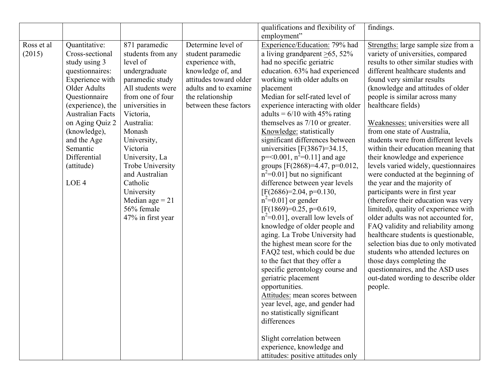|            |                         |                   |                        | qualifications and flexibility of    | findings.                             |
|------------|-------------------------|-------------------|------------------------|--------------------------------------|---------------------------------------|
|            |                         |                   |                        | employment"                          |                                       |
| Ross et al | Quantitative:           | 871 paramedic     | Determine level of     | Experience/Education: 79% had        | Strengths: large sample size from a   |
| (2015)     | Cross-sectional         | students from any | student paramedic      | a living grandparent $\geq 65$ , 52% | variety of universities, compared     |
|            | study using 3           | level of          | experience with,       | had no specific geriatric            | results to other similar studies with |
|            | questionnaires:         | undergraduate     | knowledge of, and      | education. 63% had experienced       | different healthcare students and     |
|            | Experience with         | paramedic study   | attitudes toward older | working with older adults on         | found very similar results            |
|            | Older Adults            | All students were | adults and to examine  | placement                            | (knowledge and attitudes of older     |
|            | Questionnaire           | from one of four  | the relationship       | Median for self-rated level of       | people is similar across many         |
|            | (experience), the       | universities in   | between these factors  | experience interacting with older    | healthcare fields)                    |
|            | <b>Australian Facts</b> | Victoria,         |                        | adults = $6/10$ with 45% rating      |                                       |
|            | on Aging Quiz 2         | Australia:        |                        | themselves as $7/10$ or greater.     | Weaknesses: universities were all     |
|            | (knowledge),            | Monash            |                        | Knowledge: statistically             | from one state of Australia,          |
|            | and the Age             | University,       |                        | significant differences between      | students were from different levels   |
|            | Semantic                | Victoria          |                        | universities $[F(3867)=34.15]$ ,     | within their education meaning that   |
|            | Differential            | University, La    |                        | $p = 0.001$ , $n^2 = 0.11$ ] and age | their knowledge and experience        |
|            | (attitude)              | Trobe University  |                        | groups [F $(2868)=4.47$ , p=0.012,   | levels varied widely, questionnaires  |
|            |                         | and Australian    |                        | $n^2$ =0.01] but no significant      | were conducted at the beginning of    |
|            | LOE <sub>4</sub>        | Catholic          |                        | difference between year levels       | the year and the majority of          |
|            |                         | University        |                        | $[F(2686)=2.04, p=0.130,$            | participants were in first year       |
|            |                         | Median age $= 21$ |                        | $n^2$ =0.01] or gender               | (therefore their education was very   |
|            |                         | 56% female        |                        | $[F(1869)=0.25, p=0.619,$            | limited), quality of experience with  |
|            |                         | 47% in first year |                        | $n^2=0.01$ ], overall low levels of  | older adults was not accounted for,   |
|            |                         |                   |                        | knowledge of older people and        | FAQ validity and reliability among    |
|            |                         |                   |                        | aging. La Trobe University had       | healthcare students is questionable,  |
|            |                         |                   |                        | the highest mean score for the       | selection bias due to only motivated  |
|            |                         |                   |                        | FAQ2 test, which could be due        | students who attended lectures on     |
|            |                         |                   |                        | to the fact that they offer a        | those days completing the             |
|            |                         |                   |                        | specific gerontology course and      | questionnaires, and the ASD uses      |
|            |                         |                   |                        | geriatric placement                  | out-dated wording to describe older   |
|            |                         |                   |                        | opportunities.                       | people.                               |
|            |                         |                   |                        | Attitudes: mean scores between       |                                       |
|            |                         |                   |                        | year level, age, and gender had      |                                       |
|            |                         |                   |                        | no statistically significant         |                                       |
|            |                         |                   |                        | differences                          |                                       |
|            |                         |                   |                        |                                      |                                       |
|            |                         |                   |                        | Slight correlation between           |                                       |
|            |                         |                   |                        | experience, knowledge and            |                                       |
|            |                         |                   |                        | attitudes: positive attitudes only   |                                       |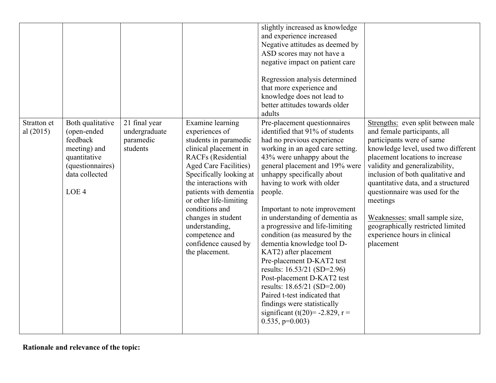|                            |                                                                                                                                       |                                                         |                                                                                                                                                                                                                                                                                                                                                                                 | slightly increased as knowledge<br>and experience increased<br>Negative attitudes as deemed by<br>ASD scores may not have a<br>negative impact on patient care<br>Regression analysis determined<br>that more experience and<br>knowledge does not lead to<br>better attitudes towards older<br>adults                                                                                                                                                                                                                                                                                                                                                                                                                     |                                                                                                                                                                                                                                                                                                                                                                                                                                                           |
|----------------------------|---------------------------------------------------------------------------------------------------------------------------------------|---------------------------------------------------------|---------------------------------------------------------------------------------------------------------------------------------------------------------------------------------------------------------------------------------------------------------------------------------------------------------------------------------------------------------------------------------|----------------------------------------------------------------------------------------------------------------------------------------------------------------------------------------------------------------------------------------------------------------------------------------------------------------------------------------------------------------------------------------------------------------------------------------------------------------------------------------------------------------------------------------------------------------------------------------------------------------------------------------------------------------------------------------------------------------------------|-----------------------------------------------------------------------------------------------------------------------------------------------------------------------------------------------------------------------------------------------------------------------------------------------------------------------------------------------------------------------------------------------------------------------------------------------------------|
| Stratton et<br>al $(2015)$ | Both qualitative<br>(open-ended<br>feedback<br>meeting) and<br>quantitative<br>(questionnaires)<br>data collected<br>LOE <sub>4</sub> | 21 final year<br>undergraduate<br>paramedic<br>students | Examine learning<br>experiences of<br>students in paramedic<br>clinical placement in<br><b>RACFs</b> (Residential<br><b>Aged Care Facilities)</b><br>Specifically looking at<br>the interactions with<br>patients with dementia<br>or other life-limiting<br>conditions and<br>changes in student<br>understanding,<br>competence and<br>confidence caused by<br>the placement. | Pre-placement questionnaires<br>identified that 91% of students<br>had no previous experience<br>working in an aged care setting.<br>43% were unhappy about the<br>general placement and 19% were<br>unhappy specifically about<br>having to work with older<br>people.<br>Important to note improvement<br>in understanding of dementia as<br>a progressive and life-limiting<br>condition (as measured by the<br>dementia knowledge tool D-<br>KAT2) after placement<br>Pre-placement D-KAT2 test<br>results: 16.53/21 (SD=2.96)<br>Post-placement D-KAT2 test<br>results: 18.65/21 (SD=2.00)<br>Paired t-test indicated that<br>findings were statistically<br>significant (t(20)= -2.829, r =<br>$0.535$ , $p=0.003$ ) | Strengths: even split between male<br>and female participants, all<br>participants were of same<br>knowledge level, used two different<br>placement locations to increase<br>validity and generalizability,<br>inclusion of both qualitative and<br>quantitative data, and a structured<br>questionnaire was used for the<br>meetings<br>Weaknesses: small sample size,<br>geographically restricted limited<br>experience hours in clinical<br>placement |

**Rationale and relevance of the topic:**